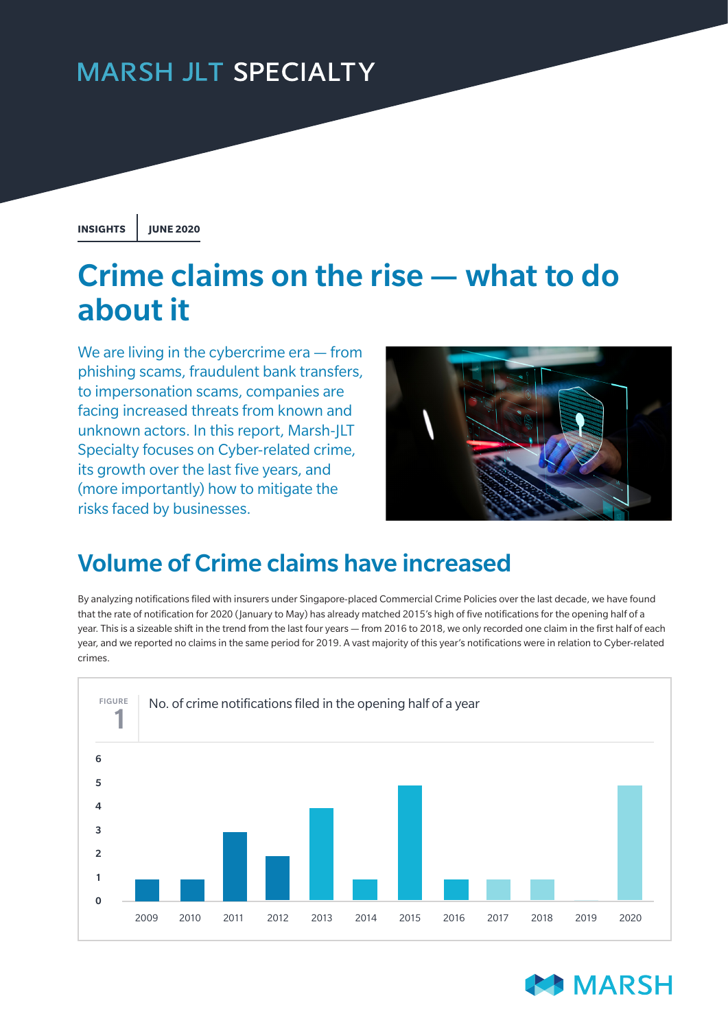## **MARSH JLT SPECIALTY**

**INSIGHTS JUNE 2020**

# Crime claims on the rise — what to do about it

We are living in the cybercrime era – from phishing scams, fraudulent bank transfers, to impersonation scams, companies are facing increased threats from known and unknown actors. In this report, Marsh-JLT Specialty focuses on Cyber-related crime, its growth over the last five years, and (more importantly) how to mitigate the risks faced by businesses.



## Volume of Crime claims have increased

By analyzing notifications filed with insurers under Singapore-placed Commercial Crime Policies over the last decade, we have found that the rate of notification for 2020 (January to May) has already matched 2015's high of five notifications for the opening half of a year. This is a sizeable shift in the trend from the last four years — from 2016 to 2018, we only recorded one claim in the first half of each year, and we reported no claims in the same period for 2019. A vast majority of this year's notifications were in relation to Cyber-related crimes.



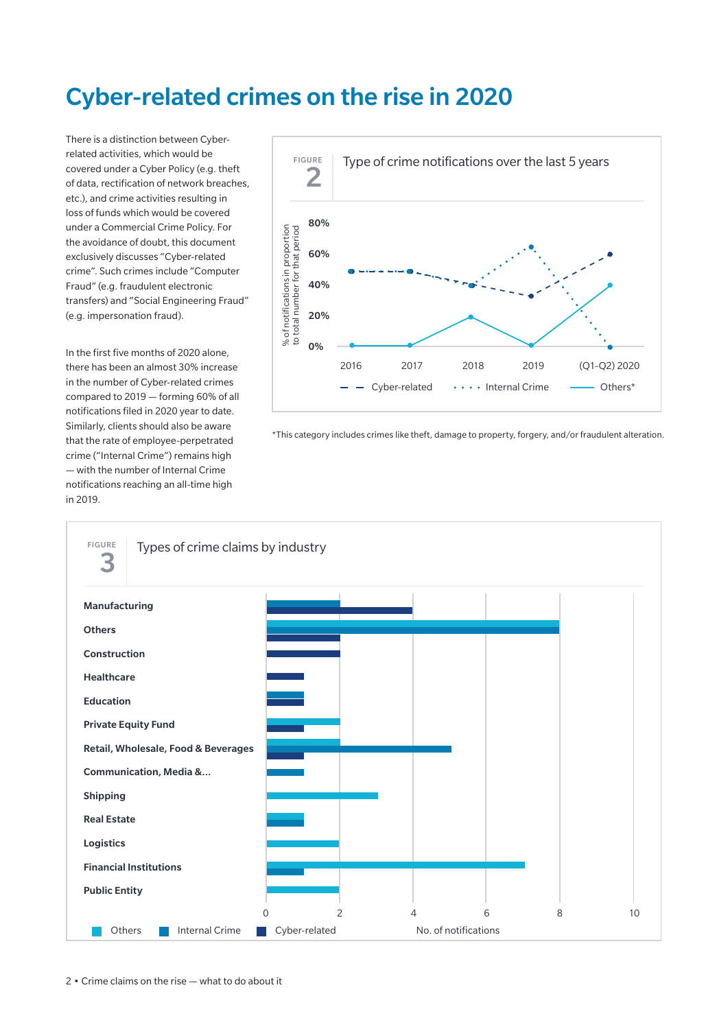### Cyber-related crimes on the rise in 2020

There is a distinction between Cyberrelated activities, which would be covered under a Cyber Policy (e.g. theft of data, rectification of network breaches, etc.), and crime activities resulting in loss of funds which would be covered under a Commercial Crime Policy. For the avoidance of doubt, this document exclusively discusses "Cyber-related crime". Such crimes include "Computer Fraud" (e.g. fraudulent electronic transfers) and "Social Engineering Fraud" (e.g. impersonation fraud).

In the first five months of 2020 alone, there has been an almost 30% increase in the number of Cyber-related crimes compared to 2019 — forming 60% of all notifications filed in 2020 year to date. Similarly, clients should also be aware that the rate of employee-perpetrated crime ("Internal Crime") remains high — with the number of Internal Crime notifications reaching an all-time high in 2019.



\*This category includes crimes like theft, damage to property, forgery, and/or fraudulent alteration.

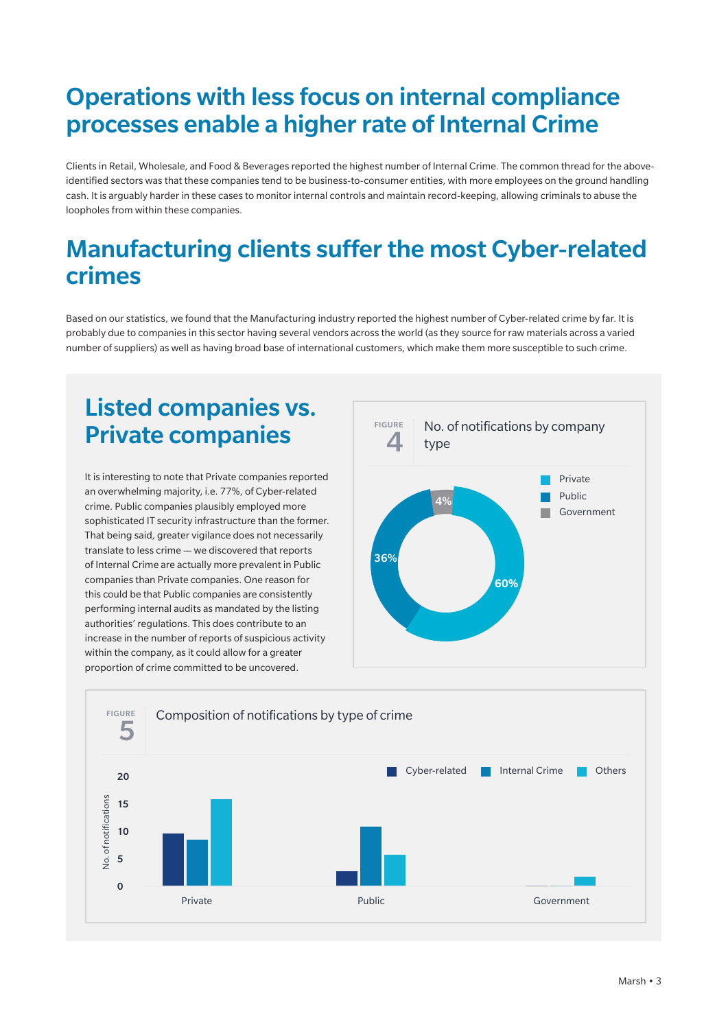### Operations with less focus on internal compliance processes enable a higher rate of Internal Crime

Clients in Retail, Wholesale, and Food & Beverages reported the highest number of Internal Crime. The common thread for the aboveidentified sectors was that these companies tend to be business-to-consumer entities, with more employees on the ground handling cash. It is arguably harder in these cases to monitor internal controls and maintain record-keeping, allowing criminals to abuse the loopholes from within these companies.

### Manufacturing clients suffer the most Cyber-related crimes

Based on our statistics, we found that the Manufacturing industry reported the highest number of Cyber-related crime by far. It is probably due to companies in this sector having several vendors across the world (as they source for raw materials across a varied number of suppliers) as well as having broad base of international customers, which make them more susceptible to such crime.

### Listed companies vs. Private companies

It is interesting to note that Private companies reported an overwhelming majority, i.e. 77%, of Cyber-related crime. Public companies plausibly employed more sophisticated IT security infrastructure than the former. That being said, greater vigilance does not necessarily translate to less crime — we discovered that reports of Internal Crime are actually more prevalent in Public companies than Private companies. One reason for this could be that Public companies are consistently performing internal audits as mandated by the listing authorities' regulations. This does contribute to an increase in the number of reports of suspicious activity within the company, as it could allow for a greater proportion of crime committed to be uncovered.



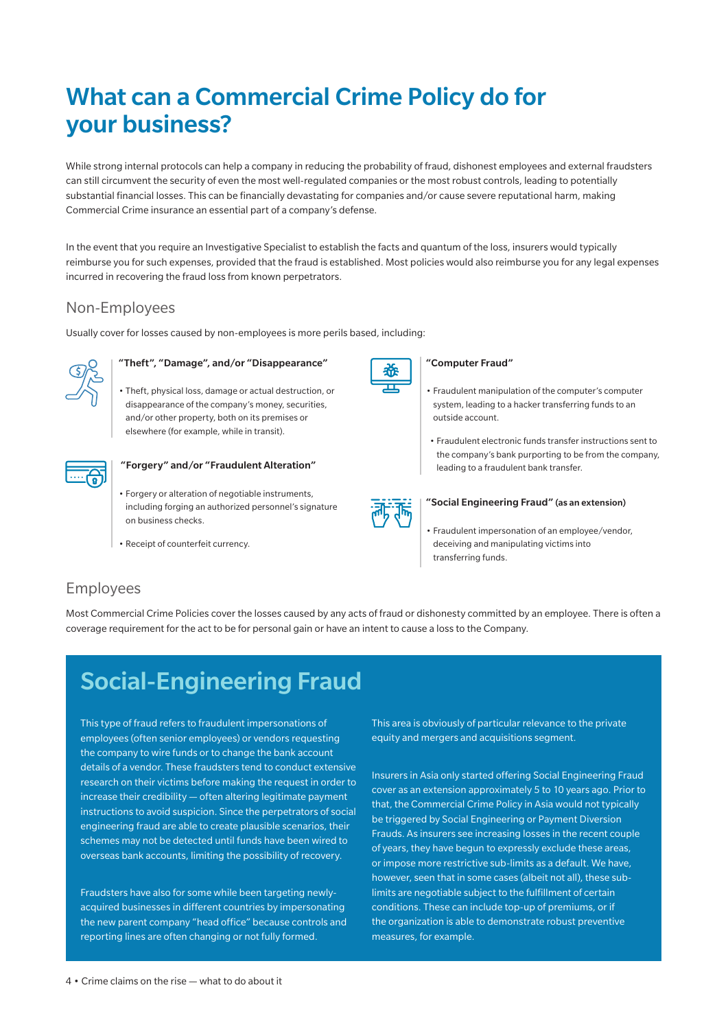## What can a Commercial Crime Policy do for your business?

While strong internal protocols can help a company in reducing the probability of fraud, dishonest employees and external fraudsters can still circumvent the security of even the most well-regulated companies or the most robust controls, leading to potentially substantial financial losses. This can be financially devastating for companies and/or cause severe reputational harm, making Commercial Crime insurance an essential part of a company's defense.

In the event that you require an Investigative Specialist to establish the facts and quantum of the loss, insurers would typically reimburse you for such expenses, provided that the fraud is established. Most policies would also reimburse you for any legal expenses incurred in recovering the fraud loss from known perpetrators.

### Non-Employees

Usually cover for losses caused by non-employees is more perils based, including:



#### "Theft", "Damage", and/or "Disappearance"

• Theft, physical loss, damage or actual destruction, or disappearance of the company's money, securities, and/or other property, both on its premises or elsewhere (for example, while in transit).



#### "Forgery" and/or "Fraudulent Alteration"

- Forgery or alteration of negotiable instruments, including forging an authorized personnel's signature on business checks.
- Receipt of counterfeit currency.



#### "Computer Fraud"

- Fraudulent manipulation of the computer's computer system, leading to a hacker transferring funds to an outside account.
- Fraudulent electronic funds transfer instructions sent to the company's bank purporting to be from the company, leading to a fraudulent bank transfer.



#### "Social Engineering Fraud" (as an extension)

• Fraudulent impersonation of an employee/vendor, deceiving and manipulating victims into transferring funds.

### Employees

Most Commercial Crime Policies cover the losses caused by any acts of fraud or dishonesty committed by an employee. There is often a coverage requirement for the act to be for personal gain or have an intent to cause a loss to the Company.

### Social-Engineering Fraud

This type of fraud refers to fraudulent impersonations of employees (often senior employees) or vendors requesting the company to wire funds or to change the bank account details of a vendor. These fraudsters tend to conduct extensive research on their victims before making the request in order to increase their credibility — often altering legitimate payment instructions to avoid suspicion. Since the perpetrators of social engineering fraud are able to create plausible scenarios, their schemes may not be detected until funds have been wired to overseas bank accounts, limiting the possibility of recovery.

Fraudsters have also for some while been targeting newlyacquired businesses in different countries by impersonating the new parent company "head office" because controls and reporting lines are often changing or not fully formed.

This area is obviously of particular relevance to the private equity and mergers and acquisitions segment.

Insurers in Asia only started offering Social Engineering Fraud cover as an extension approximately 5 to 10 years ago. Prior to that, the Commercial Crime Policy in Asia would not typically be triggered by Social Engineering or Payment Diversion Frauds. As insurers see increasing losses in the recent couple of years, they have begun to expressly exclude these areas, or impose more restrictive sub-limits as a default. We have, however, seen that in some cases (albeit not all), these sublimits are negotiable subject to the fulfillment of certain conditions. These can include top-up of premiums, or if the organization is able to demonstrate robust preventive measures, for example.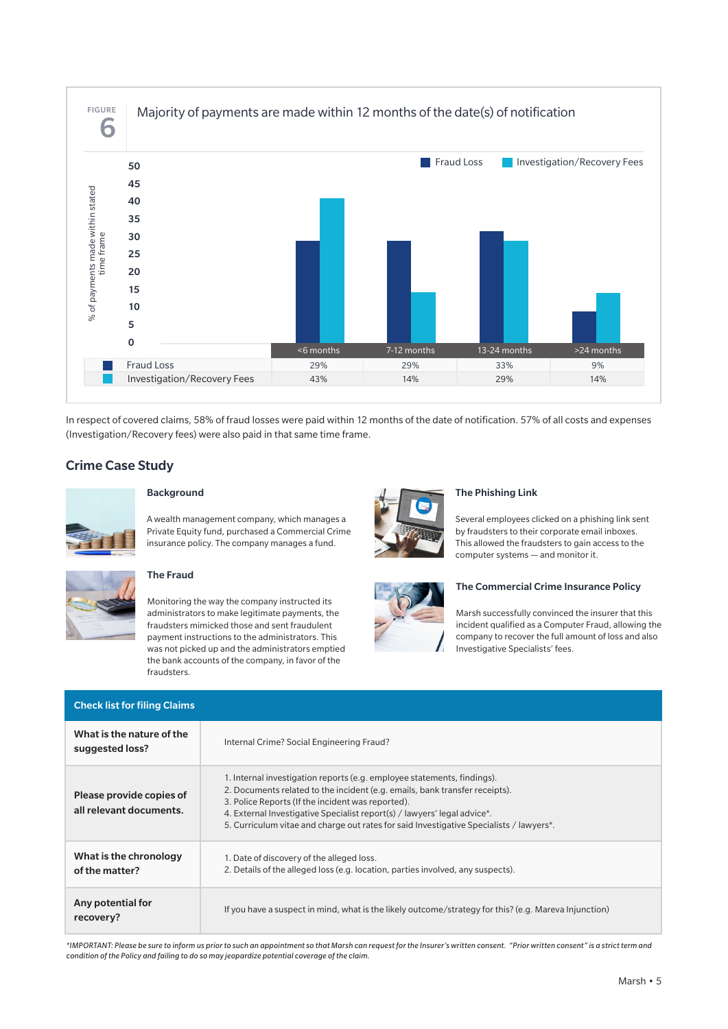

In respect of covered claims, 58% of fraud losses were paid within 12 months of the date of notification. 57% of all costs and expenses (Investigation/Recovery fees) were also paid in that same time frame.

#### Crime Case Study



#### Background

A wealth management company, which manages a Private Equity fund, purchased a Commercial Crime insurance policy. The company manages a fund.



#### The Fraud

Monitoring the way the company instructed its administrators to make legitimate payments, the fraudsters mimicked those and sent fraudulent payment instructions to the administrators. This was not picked up and the administrators emptied the bank accounts of the company, in favor of the fraudsters.



#### The Phishing Link

Several employees clicked on a phishing link sent by fraudsters to their corporate email inboxes. This allowed the fraudsters to gain access to the computer systems — and monitor it.



#### The Commercial Crime Insurance Policy

Marsh successfully convinced the insurer that this incident qualified as a Computer Fraud, allowing the company to recover the full amount of loss and also Investigative Specialists' fees.

| <b>Check list for filing Claims</b>                 |                                                                                                                                                                                                                                                                                                                                                                                    |
|-----------------------------------------------------|------------------------------------------------------------------------------------------------------------------------------------------------------------------------------------------------------------------------------------------------------------------------------------------------------------------------------------------------------------------------------------|
| What is the nature of the<br>suggested loss?        | Internal Crime? Social Engineering Fraud?                                                                                                                                                                                                                                                                                                                                          |
| Please provide copies of<br>all relevant documents. | 1. Internal investigation reports (e.g. employee statements, findings).<br>2. Documents related to the incident (e.g. emails, bank transfer receipts).<br>3. Police Reports (If the incident was reported).<br>4. External Investigative Specialist report(s) / lawyers' legal advice*.<br>5. Curriculum vitae and charge out rates for said Investigative Specialists / lawyers*. |
| What is the chronology<br>of the matter?            | 1. Date of discovery of the alleged loss.<br>2. Details of the alleged loss (e.g. location, parties involved, any suspects).                                                                                                                                                                                                                                                       |
| Any potential for<br>recovery?                      | If you have a suspect in mind, what is the likely outcome/strategy for this? (e.g. Mareva Injunction)                                                                                                                                                                                                                                                                              |

*\*IMPORTANT: Please be sure to inform us prior to such an appointment so that Marsh can request for the Insurer's written consent. "Prior written consent" is a strict term and condition of the Policy and failing to do so may jeopardize potential coverage of the claim.*